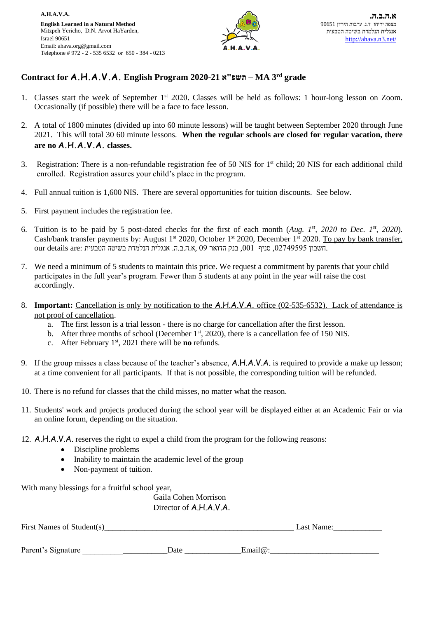

## **Contract for A.H.A.V.A. English Program 2020-21 א"תשפ – MA 3 rd grade**

- 1. Classes start the week of September 1<sup>st</sup> 2020. Classes will be held as follows: 1 hour-long lesson on Zoom. Occasionally (if possible) there will be a face to face lesson.
- 2. A total of 1800 minutes (divided up into 60 minute lessons) will be taught between September 2020 through June 2021. This will total 30 60 minute lessons. **When the regular schools are closed for regular vacation, there are no A.H.A.V.A. classes.**
- 3. Registration: There is a non-refundable registration fee of 50 NIS for 1st child; 20 NIS for each additional child enrolled. Registration assures your child's place in the program.
- 4. Full annual tuition is 1,600 NIS. There are several opportunities for tuition discounts. See below.
- 5. First payment includes the registration fee.
- 6. Tuition is to be paid by 5 post-dated checks for the first of each month (Aug.  $I^{st}$ , 2020 *to Dec.*  $I^{st}$ , 2020). Cash/bank transfer payments by: August 1<sup>st</sup> 2020, October 1<sup>st</sup> 2020, December 1<sup>st</sup> 2020. To pay by bank transfer, our details are: <sub>חשבון</sub> 2749595, סניף ,001 בנק הדואר 09 ,א.ה.ב.ה. אנגלית הנלמדת בשיטה הטבעית
- 7. We need a minimum of 5 students to maintain this price. We request a commitment by parents that your child participates in the full year's program. Fewer than 5 students at any point in the year will raise the cost accordingly.
- 8. **Important:** Cancellation is only by notification to the A.H.A.V.A. office (02-535-6532). Lack of attendance is not proof of cancellation.
	- a. The first lesson is a trial lesson there is no charge for cancellation after the first lesson.
	- b. After three months of school (December  $1<sup>st</sup>$ , 2020), there is a cancellation fee of 150 NIS.
	- c. After February 1st, 2021 there will be **no** refunds.
- 9. If the group misses a class because of the teacher's absence, A.H.A.V.A. is required to provide a make up lesson; at a time convenient for all participants. If that is not possible, the corresponding tuition will be refunded.
- 10. There is no refund for classes that the child misses, no matter what the reason.
- 11. Students' work and projects produced during the school year will be displayed either at an Academic Fair or via an online forum, depending on the situation.
- 12. A.H.A.V.A. reserves the right to expel a child from the program for the following reasons:
	- Discipline problems
	- Inability to maintain the academic level of the group
	- Non-payment of tuition.

With many blessings for a fruitful school year,

Gaila Cohen Morrison Director of A.H.A.V.A.

| First Names of Student(s) |      | Last Name:  |  |  |
|---------------------------|------|-------------|--|--|
|                           |      |             |  |  |
| Parent's Signature        | Date | Email $@$ : |  |  |